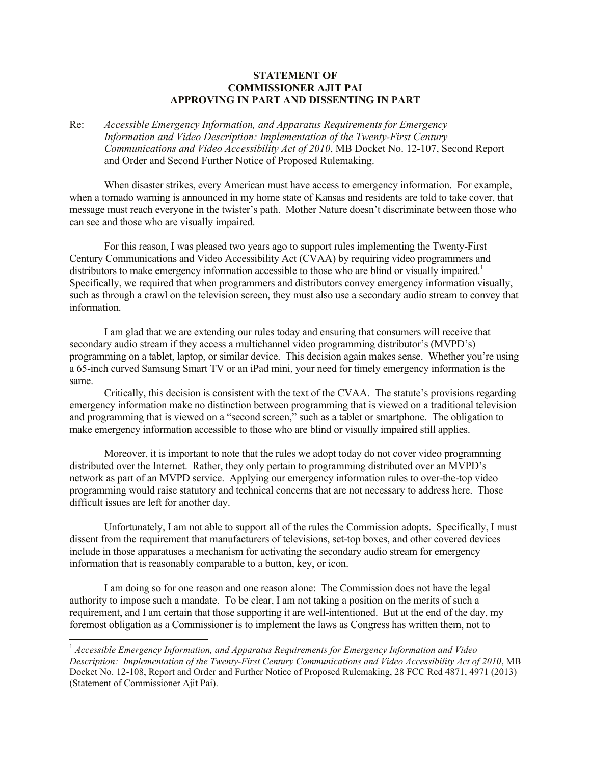## **STATEMENT OF COMMISSIONER AJIT PAI APPROVING IN PART AND DISSENTING IN PART**

Re: *Accessible Emergency Information, and Apparatus Requirements for Emergency Information and Video Description: Implementation of the Twenty-First Century Communications and Video Accessibility Act of 2010*, MB Docket No. 12-107, Second Report and Order and Second Further Notice of Proposed Rulemaking.

When disaster strikes, every American must have access to emergency information. For example, when a tornado warning is announced in my home state of Kansas and residents are told to take cover, that message must reach everyone in the twister's path. Mother Nature doesn't discriminate between those who can see and those who are visually impaired.

For this reason, I was pleased two years ago to support rules implementing the Twenty-First Century Communications and Video Accessibility Act (CVAA) by requiring video programmers and distributors to make emergency information accessible to those who are blind or visually impaired.<sup>1</sup> Specifically, we required that when programmers and distributors convey emergency information visually, such as through a crawl on the television screen, they must also use a secondary audio stream to convey that information.

I am glad that we are extending our rules today and ensuring that consumers will receive that secondary audio stream if they access a multichannel video programming distributor's (MVPD's) programming on a tablet, laptop, or similar device. This decision again makes sense. Whether you're using a 65-inch curved Samsung Smart TV or an iPad mini, your need for timely emergency information is the same.

Critically, this decision is consistent with the text of the CVAA. The statute's provisions regarding emergency information make no distinction between programming that is viewed on a traditional television and programming that is viewed on a "second screen," such as a tablet or smartphone. The obligation to make emergency information accessible to those who are blind or visually impaired still applies.

Moreover, it is important to note that the rules we adopt today do not cover video programming distributed over the Internet. Rather, they only pertain to programming distributed over an MVPD's network as part of an MVPD service. Applying our emergency information rules to over-the-top video programming would raise statutory and technical concerns that are not necessary to address here. Those difficult issues are left for another day.

Unfortunately, I am not able to support all of the rules the Commission adopts. Specifically, I must dissent from the requirement that manufacturers of televisions, set-top boxes, and other covered devices include in those apparatuses a mechanism for activating the secondary audio stream for emergency information that is reasonably comparable to a button, key, or icon.

I am doing so for one reason and one reason alone: The Commission does not have the legal authority to impose such a mandate. To be clear, I am not taking a position on the merits of such a requirement, and I am certain that those supporting it are well-intentioned. But at the end of the day, my foremost obligation as a Commissioner is to implement the laws as Congress has written them, not to

l

<sup>1</sup> *Accessible Emergency Information, and Apparatus Requirements for Emergency Information and Video Description: Implementation of the Twenty-First Century Communications and Video Accessibility Act of 2010*, MB Docket No. 12-108, Report and Order and Further Notice of Proposed Rulemaking, 28 FCC Rcd 4871, 4971 (2013) (Statement of Commissioner Ajit Pai).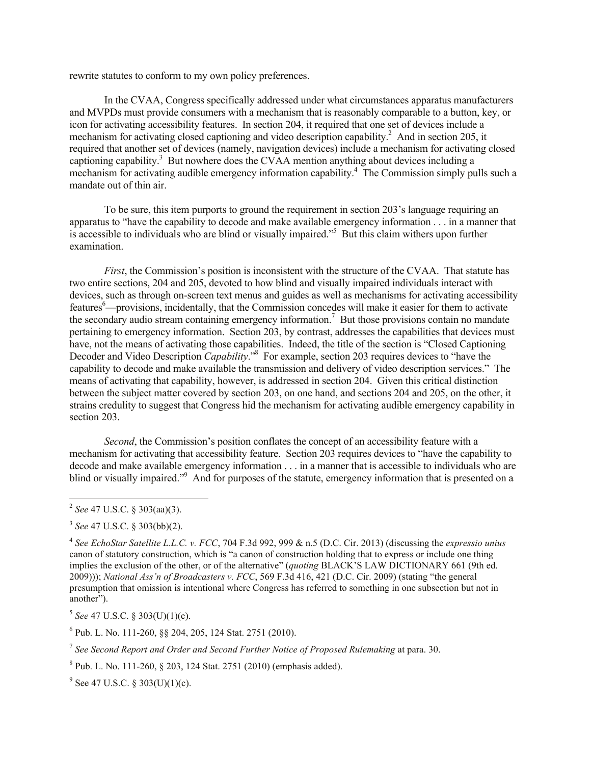rewrite statutes to conform to my own policy preferences.

In the CVAA, Congress specifically addressed under what circumstances apparatus manufacturers and MVPDs must provide consumers with a mechanism that is reasonably comparable to a button, key, or icon for activating accessibility features. In section 204, it required that one set of devices include a mechanism for activating closed captioning and video description capability.<sup>2</sup> And in section 205, it required that another set of devices (namely, navigation devices) include a mechanism for activating closed captioning capability.<sup>3</sup> But nowhere does the CVAA mention anything about devices including a mechanism for activating audible emergency information capability.<sup>4</sup> The Commission simply pulls such a mandate out of thin air.

To be sure, this item purports to ground the requirement in section 203's language requiring an apparatus to "have the capability to decode and make available emergency information . . . in a manner that is accessible to individuals who are blind or visually impaired."<sup>5</sup> But this claim withers upon further examination.

*First*, the Commission's position is inconsistent with the structure of the CVAA. That statute has two entire sections, 204 and 205, devoted to how blind and visually impaired individuals interact with devices, such as through on-screen text menus and guides as well as mechanisms for activating accessibility features<sup>6</sup>—provisions, incidentally, that the Commission concedes will make it easier for them to activate the secondary audio stream containing emergency information.<sup>7</sup> But those provisions contain no mandate pertaining to emergency information. Section 203, by contrast, addresses the capabilities that devices must have, not the means of activating those capabilities. Indeed, the title of the section is "Closed Captioning Decoder and Video Description *Capability*."<sup>8</sup> For example, section 203 requires devices to "have the capability to decode and make available the transmission and delivery of video description services." The means of activating that capability, however, is addressed in section 204. Given this critical distinction between the subject matter covered by section 203, on one hand, and sections 204 and 205, on the other, it strains credulity to suggest that Congress hid the mechanism for activating audible emergency capability in section 203.

*Second*, the Commission's position conflates the concept of an accessibility feature with a mechanism for activating that accessibility feature. Section 203 requires devices to "have the capability to decode and make available emergency information . . . in a manner that is accessible to individuals who are blind or visually impaired."<sup>9</sup> And for purposes of the statute, emergency information that is presented on a

l

5 *See* 47 U.S.C. § 303(U)(1)(c).

6 Pub. L. No. 111-260, §§ 204, 205, 124 Stat. 2751 (2010).

7 *See Second Report and Order and Second Further Notice of Proposed Rulemaking* at para. 30.

 $8$  Pub. L. No. 111-260,  $\S$  203, 124 Stat. 2751 (2010) (emphasis added).

 $9^9$  See 47 U.S.C. § 303(U)(1)(c).

<sup>2</sup> *See* 47 U.S.C. § 303(aa)(3).

<sup>3</sup> *See* 47 U.S.C. § 303(bb)(2).

<sup>4</sup> *See EchoStar Satellite L.L.C. v. FCC*, 704 F.3d 992, 999 & n.5 (D.C. Cir. 2013) (discussing the *expressio unius* canon of statutory construction, which is "a canon of construction holding that to express or include one thing implies the exclusion of the other, or of the alternative" (*quoting* BLACK'S LAW DICTIONARY 661 (9th ed. 2009))); *National Ass'n of Broadcasters v. FCC*, 569 F.3d 416, 421 (D.C. Cir. 2009) (stating "the general presumption that omission is intentional where Congress has referred to something in one subsection but not in another").